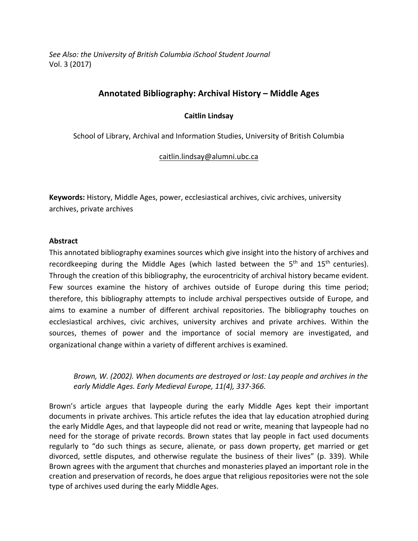See Also: the University of British Columbia *iSchool Student Journal* Vol. 3 (2017)

# **Annotated Bibliography: Archival History – Middle Ages**

#### **Caitlin Lindsay**

School of Library, Archival and Information Studies, University of British Columbia

#### caitlin.lindsay@alumni.ubc.ca

**Keywords:** History, Middle Ages, power, ecclesiastical archives, civic archives, university archives, private archives

#### **Abstract**

This annotated bibliography examines sources which give insight into the history of archives and recordkeeping during the Middle Ages (which lasted between the  $5<sup>th</sup>$  and  $15<sup>th</sup>$  centuries). Through the creation of this bibliography, the eurocentricity of archival history became evident. Few sources examine the history of archives outside of Europe during this time period; therefore, this bibliography attempts to include archival perspectives outside of Europe, and aims to examine a number of different archival repositories. The bibliography touches on ecclesiastical archives, civic archives, university archives and private archives. Within the sources, themes of power and the importance of social memory are investigated, and organizational change within a variety of different archives is examined.

*Brown, W.* (2002). When documents are destroyed or lost: Lay people and archives in the early Middle Ages. Early Medieval Europe, 11(4), 337-366.

Brown's article argues that laypeople during the early Middle Ages kept their important documents in private archives. This article refutes the idea that lay education atrophied during the early Middle Ages, and that laypeople did not read or write, meaning that laypeople had no need for the storage of private records. Brown states that lay people in fact used documents regularly to "do such things as secure, alienate, or pass down property, get married or get divorced, settle disputes, and otherwise regulate the business of their lives" (p. 339). While Brown agrees with the argument that churches and monasteries played an important role in the creation and preservation of records, he does argue that religious repositories were not the sole type of archives used during the early Middle Ages.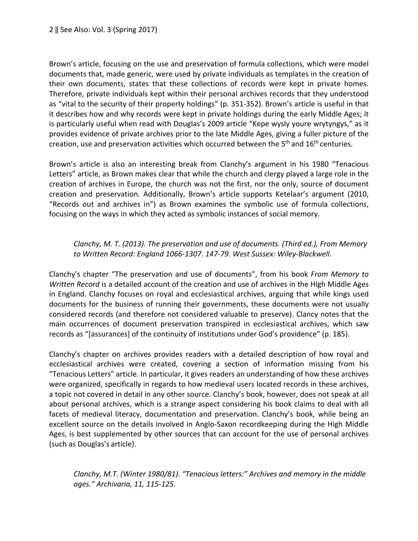Brown's article, focusing on the use and preservation of formula collections, which were model documents that, made generic, were used by private individuals as templates in the creation of their own documents, states that these collections of records were kept in private homes. Therefore, private individuals kept within their personal archives records that they understood as "vital to the security of their property holdings" (p. 351-352). Brown's article is useful in that it describes how and why records were kept in private holdings during the early Middle Ages; it is particularly useful when read with Douglas's 2009 article "Kepe wysly youre wrytyngys," as it provides evidence of private archives prior to the late Middle Ages, giving a fuller picture of the creation, use and preservation activities which occurred between the  $5<sup>th</sup>$  and  $16<sup>th</sup>$  centuries.

Brown's article is also an interesting break from Clanchy's argument in his 1980 "Tenacious Letters" article, as Brown makes clear that while the church and clergy played a large role in the creation of archives in Europe, the church was not the first, nor the only, source of document creation and preservation. Additionally, Brown's article supports Ketelaar's argument (2010, "Records out and archives in") as Brown examines the symbolic use of formula collections, focusing on the ways in which they acted as symbolic instances of social memory.

#### *Clanchy, M. T. (2013). The preservation and use of documents. (Third ed.), From Memory* to Written Record: England 1066-1307. 147-79. West Sussex: Wiley-Blackwell.

Clanchy's chapter "The preservation and use of documents", from his book *From Memory to Written Record* is a detailed account of the creation and use of archives in the High Middle Ages in England. Clanchy focuses on royal and ecclesiastical archives, arguing that while kings used documents for the business of running their governments, these documents were not usually considered records (and therefore not considered valuable to preserve). Clancy notes that the main occurrences of document preservation transpired in ecclesiastical archives, which saw records as "[assurances] of the continuity of institutions under God's providence" (p. 185).

Clanchy's chapter on archives provides readers with a detailed description of how royal and ecclesiastical archives were created, covering a section of information missing from his "Tenacious Letters" article. In particular, it gives readers an understanding of how these archives were organized, specifically in regards to how medieval users located records in these archives, a topic not covered in detail in any other source. Clanchy's book, however, does not speak at all about personal archives, which is a strange aspect considering his book claims to deal with all facets of medieval literacy, documentation and preservation. Clanchy's book, while being an excellent source on the details involved in Anglo-Saxon recordkeeping during the High Middle Ages, is best supplemented by other sources that can account for the use of personal archives (such as Douglas's article).

Clanchy, M.T. (Winter 1980/81). "Tenacious letters:" Archives and memory in the middle *ages." Archivaria, 11, 115-125.*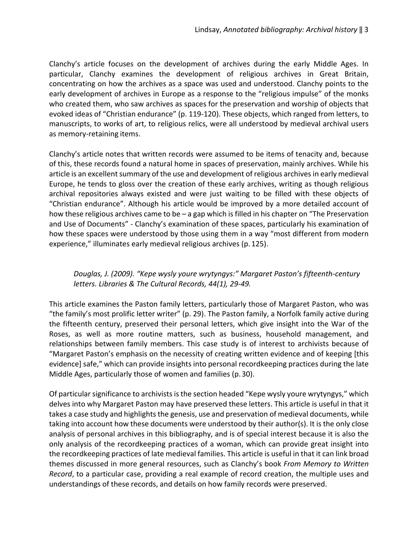Clanchy's article focuses on the development of archives during the early Middle Ages. In particular, Clanchy examines the development of religious archives in Great Britain, concentrating on how the archives as a space was used and understood. Clanchy points to the early development of archives in Europe as a response to the "religious impulse" of the monks who created them, who saw archives as spaces for the preservation and worship of objects that evoked ideas of "Christian endurance" (p. 119-120). These objects, which ranged from letters, to manuscripts, to works of art, to religious relics, were all understood by medieval archival users as memory-retaining items.

Clanchy's article notes that written records were assumed to be items of tenacity and, because of this, these records found a natural home in spaces of preservation, mainly archives. While his article is an excellent summary of the use and development of religious archives in early medieval Europe, he tends to gloss over the creation of these early archives, writing as though religious archival repositories always existed and were just waiting to be filled with these objects of "Christian endurance". Although his article would be improved by a more detailed account of how these religious archives came to be  $-$  a gap which is filled in his chapter on "The Preservation and Use of Documents" - Clanchy's examination of these spaces, particularly his examination of how these spaces were understood by those using them in a way "most different from modern experience," illuminates early medieval religious archives (p. 125).

## Douglas, J. (2009). "Kepe wysly youre wrytyngys:" Margaret Paston's fifteenth-century letters. Libraries & The Cultural Records, 44(1), 29-49.

This article examines the Paston family letters, particularly those of Margaret Paston, who was "the family's most prolific letter writer" (p. 29). The Paston family, a Norfolk family active during the fifteenth century, preserved their personal letters, which give insight into the War of the Roses, as well as more routine matters, such as business, household management, and relationships between family members. This case study is of interest to archivists because of "Margaret Paston's emphasis on the necessity of creating written evidence and of keeping [this evidence] safe," which can provide insights into personal recordkeeping practices during the late Middle Ages, particularly those of women and families (p. 30).

Of particular significance to archivists is the section headed "Kepe wysly youre wrytyngys," which delves into why Margaret Paston may have preserved these letters. This article is useful in that it takes a case study and highlights the genesis, use and preservation of medieval documents, while taking into account how these documents were understood by their author(s). It is the only close analysis of personal archives in this bibliography, and is of special interest because it is also the only analysis of the recordkeeping practices of a woman, which can provide great insight into the recordkeeping practices of late medieval families. This article is useful in that it can link broad themes discussed in more general resources, such as Clanchy's book *From Memory to Written Record*, to a particular case, providing a real example of record creation, the multiple uses and understandings of these records, and details on how family records were preserved.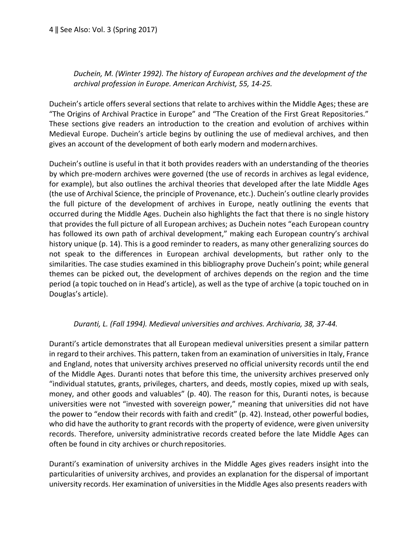## Duchein, M. (Winter 1992). The history of European archives and the development of the *archival profession in Europe. American Archivist, 55, 14-25.*

Duchein's article offers several sections that relate to archives within the Middle Ages; these are "The Origins of Archival Practice in Europe" and "The Creation of the First Great Repositories." These sections give readers an introduction to the creation and evolution of archives within Medieval Europe. Duchein's article begins by outlining the use of medieval archives, and then gives an account of the development of both early modern and modernarchives.

Duchein's outline is useful in that it both provides readers with an understanding of the theories by which pre-modern archives were governed (the use of records in archives as legal evidence, for example), but also outlines the archival theories that developed after the late Middle Ages (the use of Archival Science, the principle of Provenance, etc.). Duchein's outline clearly provides the full picture of the development of archives in Europe, neatly outlining the events that occurred during the Middle Ages. Duchein also highlights the fact that there is no single history that provides the full picture of all European archives; as Duchein notes "each European country has followed its own path of archival development," making each European country's archival history unique (p. 14). This is a good reminder to readers, as many other generalizing sources do not speak to the differences in European archival developments, but rather only to the similarities. The case studies examined in this bibliography prove Duchein's point; while general themes can be picked out, the development of archives depends on the region and the time period (a topic touched on in Head's article), as well as the type of archive (a topic touched on in Douglas's article).

## Duranti, L. (Fall 1994). Medieval universities and archives. Archivaria, 38, 37-44.

Duranti's article demonstrates that all European medieval universities present a similar pattern in regard to their archives. This pattern, taken from an examination of universities in Italy, France and England, notes that university archives preserved no official university records until the end of the Middle Ages. Duranti notes that before this time, the university archives preserved only "individual statutes, grants, privileges, charters, and deeds, mostly copies, mixed up with seals, money, and other goods and valuables" (p. 40). The reason for this, Duranti notes, is because universities were not "invested with sovereign power," meaning that universities did not have the power to "endow their records with faith and credit" (p. 42). Instead, other powerful bodies, who did have the authority to grant records with the property of evidence, were given university records. Therefore, university administrative records created before the late Middle Ages can often be found in city archives or church repositories.

Duranti's examination of university archives in the Middle Ages gives readers insight into the particularities of university archives, and provides an explanation for the dispersal of important university records. Her examination of universities in the Middle Ages also presents readers with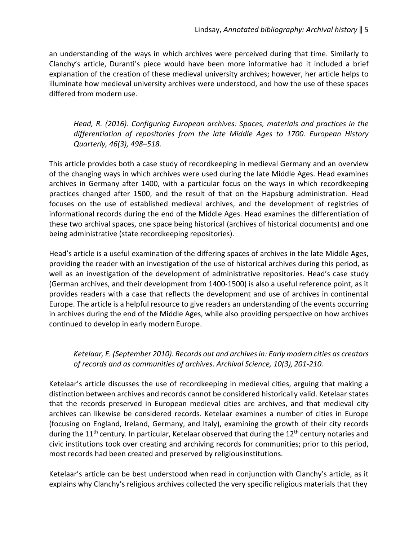an understanding of the ways in which archives were perceived during that time. Similarly to Clanchy's article, Duranti's piece would have been more informative had it included a brief explanation of the creation of these medieval university archives; however, her article helps to illuminate how medieval university archives were understood, and how the use of these spaces differed from modern use.

## *Head,* R. (2016). Configuring European archives: Spaces, materials and practices in the differentiation of repositories from the late Middle Ages to 1700. European History *Quarterly, 46(3), 498–518.*

This article provides both a case study of recordkeeping in medieval Germany and an overview of the changing ways in which archives were used during the late Middle Ages. Head examines archives in Germany after 1400, with a particular focus on the ways in which recordkeeping practices changed after 1500, and the result of that on the Hapsburg administration. Head focuses on the use of established medieval archives, and the development of registries of informational records during the end of the Middle Ages. Head examines the differentiation of these two archival spaces, one space being historical (archives of historical documents) and one being administrative (state recordkeeping repositories).

Head's article is a useful examination of the differing spaces of archives in the late Middle Ages, providing the reader with an investigation of the use of historical archives during this period, as well as an investigation of the development of administrative repositories. Head's case study (German archives, and their development from 1400-1500) is also a useful reference point, as it provides readers with a case that reflects the development and use of archives in continental Europe. The article is a helpful resource to give readers an understanding of the events occurring in archives during the end of the Middle Ages, while also providing perspective on how archives continued to develop in early modern Europe.

## *Ketelaar, E. (September 2010). Records out and archivesin: Early modern cities as creators*  of records and as communities of archives. Archival Science, 10(3), 201-210.

Ketelaar's article discusses the use of recordkeeping in medieval cities, arguing that making a distinction between archives and records cannot be considered historically valid. Ketelaar states that the records preserved in European medieval cities are archives, and that medieval city archives can likewise be considered records. Ketelaar examines a number of cities in Europe (focusing on England, Ireland, Germany, and Italy), examining the growth of their city records during the  $11<sup>th</sup>$  century. In particular, Ketelaar observed that during the  $12<sup>th</sup>$  century notaries and civic institutions took over creating and archiving records for communities; prior to this period, most records had been created and preserved by religious institutions.

Ketelaar's article can be best understood when read in conjunction with Clanchy's article, as it explains why Clanchy's religious archives collected the very specific religious materials that they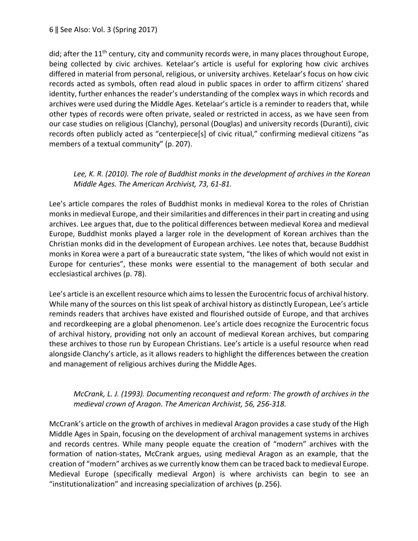#### 6 || See Also: Vol. 3 (Spring 2017)

did; after the  $11<sup>th</sup>$  century, city and community records were, in many places throughout Europe, being collected by civic archives. Ketelaar's article is useful for exploring how civic archives differed in material from personal, religious, or university archives. Ketelaar's focus on how civic records acted as symbols, often read aloud in public spaces in order to affirm citizens' shared identity, further enhances the reader's understanding of the complex ways in which records and archives were used during the Middle Ages. Ketelaar's article is a reminder to readers that, while other types of records were often private, sealed or restricted in access, as we have seen from our case studies on religious (Clanchy), personal (Douglas) and university records (Duranti), civic records often publicly acted as "centerpiece[s] of civic ritual," confirming medieval citizens "as members of a textual community" (p. 207).

#### Lee, K. R. (2010). The role of Buddhist monks in the development of archives in the Korean *Middle Ages. The American Archivist, 73, 61-81.*

Lee's article compares the roles of Buddhist monks in medieval Korea to the roles of Christian monks in medieval Europe, and their similarities and differences in their part in creating and using archives. Lee argues that, due to the political differences between medieval Korea and medieval Europe, Buddhist monks played a larger role in the development of Korean archives than the Christian monks did in the development of European archives. Lee notes that, because Buddhist monks in Korea were a part of a bureaucratic state system, "the likes of which would not exist in Europe for centuries", these monks were essential to the management of both secular and ecclesiastical archives (p. 78).

Lee's article is an excellent resource which aims to lessen the Eurocentric focus of archival history. While many of the sources on this list speak of archival history as distinctly European, Lee's article reminds readers that archives have existed and flourished outside of Europe, and that archives and recordkeeping are a global phenomenon. Lee's article does recognize the Eurocentric focus of archival history, providing not only an account of medieval Korean archives, but comparing these archives to those run by European Christians. Lee's article is a useful resource when read alongside Clanchy's article, as it allows readers to highlight the differences between the creation and management of religious archives during the Middle Ages.

#### *McCrank, L. J. (1993). Documenting reconquest and reform: The growth of archives in the medieval crown of Aragon. The American Archivist, 56, 256-318.*

McCrank's article on the growth of archives in medieval Aragon provides a case study of the High Middle Ages in Spain, focusing on the development of archival management systems in archives and records centres. While many people equate the creation of "modern" archives with the formation of nation-states, McCrank argues, using medieval Aragon as an example, that the creation of "modern" archives as we currently know them can be traced back to medieval Europe. Medieval Europe (specifically medieval Argon) is where archivists can begin to see an "institutionalization" and increasing specialization of archives (p. 256).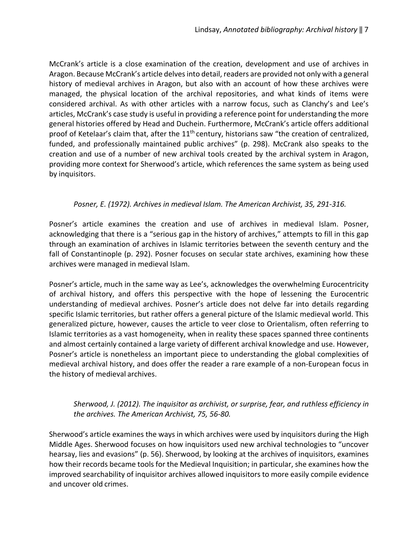McCrank's article is a close examination of the creation, development and use of archives in Aragon. Because McCrank's article delvesinto detail, readers are provided not only with a general history of medieval archives in Aragon, but also with an account of how these archives were managed, the physical location of the archival repositories, and what kinds of items were considered archival. As with other articles with a narrow focus, such as Clanchy's and Lee's articles, McCrank's case study is useful in providing a reference point for understanding the more general histories offered by Head and Duchein. Furthermore, McCrank's article offers additional proof of Ketelaar's claim that, after the  $11<sup>th</sup>$  century, historians saw "the creation of centralized, funded, and professionally maintained public archives" (p. 298). McCrank also speaks to the creation and use of a number of new archival tools created by the archival system in Aragon, providing more context for Sherwood's article, which references the same system as being used by inquisitors.

#### Posner, E. (1972). Archives in medieval Islam. The American Archivist, 35, 291-316.

Posner's article examines the creation and use of archives in medieval Islam. Posner, acknowledging that there is a "serious gap in the history of archives," attempts to fill in this gap through an examination of archives in Islamic territories between the seventh century and the fall of Constantinople (p. 292). Posner focuses on secular state archives, examining how these archives were managed in medieval Islam.

Posner's article, much in the same way as Lee's, acknowledges the overwhelming Eurocentricity of archival history, and offers this perspective with the hope of lessening the Eurocentric understanding of medieval archives. Posner's article does not delve far into details regarding specific Islamic territories, but rather offers a general picture of the Islamic medieval world. This generalized picture, however, causes the article to veer close to Orientalism, often referring to Islamic territories as a vast homogeneity, when in reality these spaces spanned three continents and almost certainly contained a large variety of different archival knowledge and use. However, Posner's article is nonetheless an important piece to understanding the global complexities of medieval archival history, and does offer the reader a rare example of a non-European focus in the history of medieval archives.

#### *Sherwood, J. (2012). The inquisitor as archivist, or surprise, fear, and ruthless efficiency in the archives. The American Archivist, 75, 56-80.*

Sherwood's article examines the ways in which archives were used by inquisitors during the High Middle Ages. Sherwood focuses on how inquisitors used new archival technologies to "uncover hearsay, lies and evasions" (p. 56). Sherwood, by looking at the archives of inquisitors, examines how their records became tools for the Medieval Inquisition; in particular, she examines how the improved searchability of inquisitor archives allowed inquisitors to more easily compile evidence and uncover old crimes.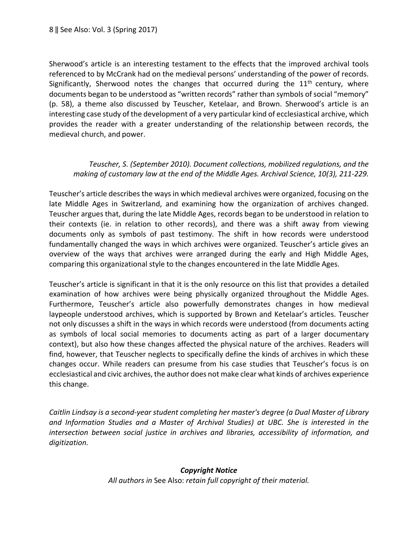Sherwood's article is an interesting testament to the effects that the improved archival tools referenced to by McCrank had on the medieval persons' understanding of the power of records. Significantly, Sherwood notes the changes that occurred during the  $11<sup>th</sup>$  century, where documents began to be understood as "written records" rather than symbols of social "memory" (p. 58), a theme also discussed by Teuscher, Ketelaar, and Brown. Sherwood's article is an interesting case study of the development of a very particular kind of ecclesiastical archive, which provides the reader with a greater understanding of the relationship between records, the medieval church, and power.

## Teuscher, S. (September 2010). Document collections, mobilized regulations, and the *making of customary law at the end of the Middle Ages. Archival Science, 10(3), 211-229.*

Teuscher's article describes the ways in which medieval archives were organized, focusing on the late Middle Ages in Switzerland, and examining how the organization of archives changed. Teuscher argues that, during the late Middle Ages, records began to be understood in relation to their contexts (ie. in relation to other records), and there was a shift away from viewing documents only as symbols of past testimony. The shift in how records were understood fundamentally changed the ways in which archives were organized. Teuscher's article gives an overview of the ways that archives were arranged during the early and High Middle Ages, comparing this organizational style to the changes encountered in the late Middle Ages.

Teuscher's article is significant in that it is the only resource on this list that provides a detailed examination of how archives were being physically organized throughout the Middle Ages. Furthermore, Teuscher's article also powerfully demonstrates changes in how medieval laypeople understood archives, which is supported by Brown and Ketelaar's articles. Teuscher not only discusses a shift in the ways in which records were understood (from documents acting as symbols of local social memories to documents acting as part of a larger documentary context), but also how these changes affected the physical nature of the archives. Readers will find, however, that Teuscher neglects to specifically define the kinds of archives in which these changes occur. While readers can presume from his case studies that Teuscher's focus is on ecclesiastical and civic archives, the author does not make clear what kinds of archives experience this change.

*Caitlin Lindsay is a second-year student completing her master's degree (a Dual Master of Library*  and Information Studies and a Master of Archival Studies) at UBC. She is interested in the intersection between social justice in archives and libraries, accessibility of information, and *digitization.*

#### *Copyright Notice*

All authors in See Also: retain full copyright of their material.